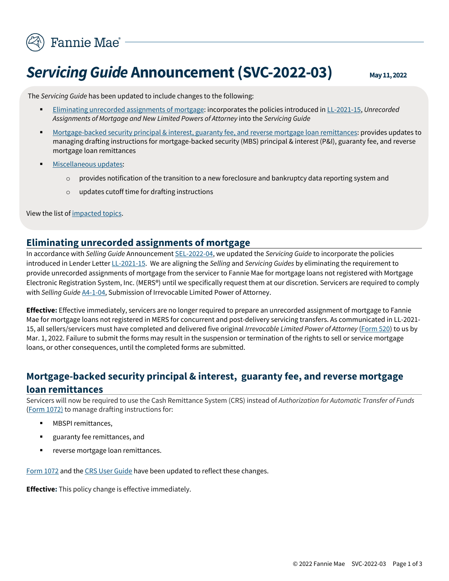

# **Servicing Guide Announcement (SVC-2022-03)** May 11, 2022

The *Servicing Guide* has been updated to include changes to the following:

- [Eliminating unrecorded assignments of mortgage:](#page-0-0) incorporates the policies introduced in LL-2021-15, *Unrecorded Assignments of Mortgage and New Limited Powers of Attorney* into the *Servicing Guide*
- [Mortgage-backed security principal & interest, guaranty fee,](#page-0-1) and reverse mortgage loan remittances: provides updates to managing drafting instructions for mortgage-backed security (MBS) principal & interest (P&I), guaranty fee, and reverse mortgage loan remittances
- [Miscellaneous updates:](#page-1-0)
	- $\circ$  provides notification of the transition to a new foreclosure and bankruptcy data reporting system and
	- o updates cutoff time for drafting instructions

View the list of [impacted topics.](#page-2-0)

#### **Eliminating unrecorded assignments of mortgage**

<span id="page-0-0"></span>In accordance with *Selling Guide* Announcement SEL-2022-04, we updated the *Servicing Guide* to incorporate the policies introduced in Lender Letter LL-2021-15. We are aligning the *Selling* and *Servicing Guides* by eliminating the requirement to provide unrecorded assignments of mortgage from the servicer to Fannie Mae for mortgage loans not registered with Mortgage Electronic Registration System, Inc. (MERS®) until we specifically request them at our discretion. Servicers are required to comply with *Selling Guide* A4-1-04, Submission of Irrevocable Limited Power of Attorney.

**Effective:** Effective immediately, servicers are no longer required to prepare an unrecorded assignment of mortgage to Fannie Mae for mortgage loans not registered in MERS for concurrent and post-delivery servicing transfers. As communicated in LL-2021- 15, all sellers/servicers must have completed and delivered five original *Irrevocable Limited Power of Attorney* (Form 520) to us by Mar. 1, 2022. Failure to submit the forms may result in the suspension or termination of the rights to sell or service mortgage loans, or other consequences, until the completed forms are submitted.

## <span id="page-0-1"></span>**Mortgage-backed security principal & interest, guaranty fee, and reverse mortgage loan remittances**

Servicers will now be required to use the Cash Remittance System (CRS) instead of *Authorization for Automatic Transfer of Funds* (Form 1072) to manage drafting instructions for:

- MBSPI remittances,
- guaranty fee remittances, and
- reverse mortgage loan remittances.

Form 1072 and the CRS User Guide have been updated to reflect these changes.

**Effective:** This policy change is effective immediately.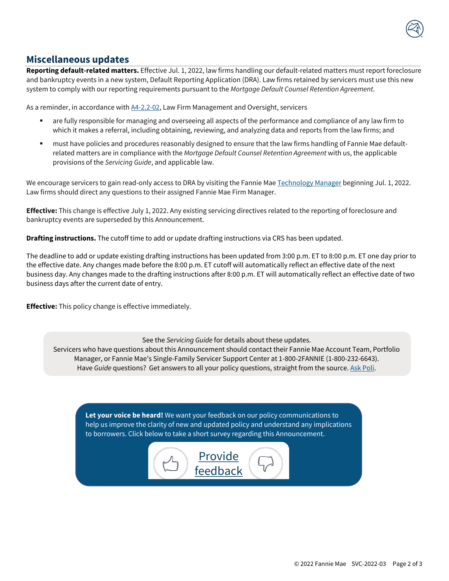

### **Miscellaneous updates**

<span id="page-1-0"></span>**Reporting default-related matters.** Effective Jul. 1, 2022, law firms handling our default-related matters must report foreclosure and bankruptcy events in a new system, Default Reporting Application (DRA). Law firms retained by servicers must use this new system to comply with our reporting requirements pursuant to the *Mortgage Default Counsel Retention Agreement*.

As a reminder, in accordance with  $A4-2.2-02$ , Law Firm Management and Oversight, servicers

- are fully responsible for managing and overseeing all aspects of the performance and compliance of any law firm to which it makes a referral, including obtaining, reviewing, and analyzing data and reports from the law firms; and
- must have policies and procedures reasonably designed to ensure that the law firms handling of Fannie Mae defaultrelated matters are in compliance with the *Mortgage Default Counsel Retention Agreement* with us, the applicable provisions of the *Servicing Guide*, and applicable law.

We encourage servicers to gain read-only access to DRA by visiting the Fannie Mae Technology Manager beginning Jul. 1, 2022. Law firms should direct any questions to their assigned Fannie Mae Firm Manager.

**Effective:** This change is effective July 1, 2022. Any existing servicing directives related to the reporting of foreclosure and bankruptcy events are superseded by this Announcement.

**Drafting instructions.** The cutoff time to add or update drafting instructions via CRS has been updated.

The deadline to add or update existing drafting instructions has been updated from 3:00 p.m. ET to 8:00 p.m. ET one day prior to the effective date. Any changes made before the 8:00 p.m. ET cutoff will automatically reflect an effective date of the next business day. Any changes made to the drafting instructions after 8:00 p.m. ET will automatically reflect an effective date of two business days after the current date of entry.

**Effective:** This policy change is effective immediately.

See the *Servicing Guide* for details about these updates.

Servicers who have questions about this Announcement should contact their Fannie Mae Account Team, Portfolio Manager, or Fannie Mae's Single-Family Servicer Support Center at 1-800-2FANNIE (1-800-232-6643). Have *Guide* questions? Get answers to all your policy questions, straight from the source. Ask Poli.

**Let your voice be heard!** We want your feedback on our policy communications to help us improve the clarity of new and updated policy and understand any implications to borrowers. Click below to take a short survey regarding this Announcement.